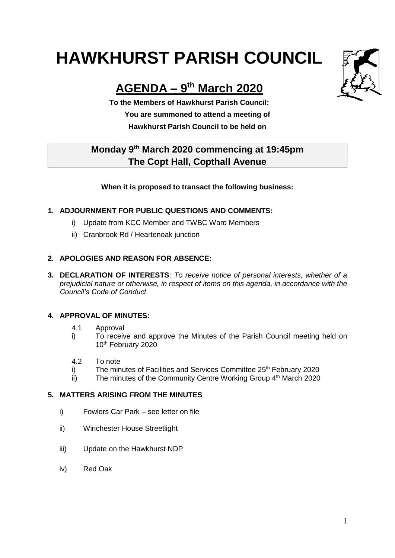# **HAWKHURST PARISH COUNCIL**

# **AGENDA – 9 th March 2020**

**To the Members of Hawkhurst Parish Council: You are summoned to attend a meeting of Hawkhurst Parish Council to be held on**

# **Monday 9th March 2020 commencing at 19:45pm The Copt Hall, Copthall Avenue**

#### **When it is proposed to transact the following business:**

## **1. ADJOURNMENT FOR PUBLIC QUESTIONS AND COMMENTS:**

- i) Update from KCC Member and TWBC Ward Members
- ii) Cranbrook Rd / Heartenoak junction

## **2. APOLOGIES AND REASON FOR ABSENCE:**

**3. DECLARATION OF INTERESTS**: *To receive notice of personal interests, whether of a prejudicial nature or otherwise, in respect of items on this agenda, in accordance with the Council's Code of Conduct.*

#### **4. APPROVAL OF MINUTES:**

- 4.1 Approval
- i) To receive and approve the Minutes of the Parish Council meeting held on 10<sup>th</sup> February 2020
- 4.2 To note
- i) The minutes of Facilities and Services Committee 25<sup>th</sup> February 2020
- ii) The minutes of the Community Centre Working Group 4<sup>th</sup> March 2020

#### **5. MATTERS ARISING FROM THE MINUTES**

- i) Fowlers Car Park see letter on file
- ii) Winchester House Streetlight
- iii) Update on the Hawkhurst NDP
- iv) Red Oak

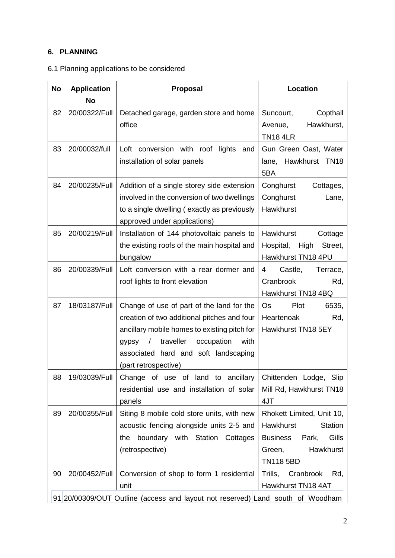# **6. PLANNING**

| 6.1 Planning applications to be considered |  |  |  |  |  |
|--------------------------------------------|--|--|--|--|--|
|--------------------------------------------|--|--|--|--|--|

| <b>No</b> | <b>Application</b><br>No                                                       | Proposal                                                                                                                                                                                                                                                           | Location                                                                                                                                        |
|-----------|--------------------------------------------------------------------------------|--------------------------------------------------------------------------------------------------------------------------------------------------------------------------------------------------------------------------------------------------------------------|-------------------------------------------------------------------------------------------------------------------------------------------------|
| 82        | 20/00322/Full                                                                  | Detached garage, garden store and home<br>office                                                                                                                                                                                                                   | Copthall<br>Suncourt,<br>Hawkhurst,<br>Avenue,<br><b>TN18 4LR</b>                                                                               |
| 83        | 20/00032/full                                                                  | Loft conversion with roof lights and<br>installation of solar panels                                                                                                                                                                                               | Gun Green Oast, Water<br>Hawkhurst TN18<br>lane,<br>5BA                                                                                         |
| 84        | 20/00235/Full                                                                  | Addition of a single storey side extension<br>involved in the conversion of two dwellings<br>to a single dwelling (exactly as previously<br>approved under applications)                                                                                           | Conghurst<br>Cottages,<br>Conghurst<br>Lane,<br>Hawkhurst                                                                                       |
| 85        | 20/00219/Full                                                                  | Installation of 144 photovoltaic panels to<br>the existing roofs of the main hospital and<br>bungalow                                                                                                                                                              | Hawkhurst<br>Cottage<br>Hospital,<br>High<br>Street,<br>Hawkhurst TN18 4PU                                                                      |
| 86        | 20/00339/Full                                                                  | Loft conversion with a rear dormer and<br>roof lights to front elevation                                                                                                                                                                                           | Castle,<br>4<br>Terrace,<br>Cranbrook<br>Rd,<br>Hawkhurst TN18 4BQ                                                                              |
| 87        | 18/03187/Full                                                                  | Change of use of part of the land for the<br>creation of two additional pitches and four<br>ancillary mobile homes to existing pitch for<br>traveller<br>$\sqrt{2}$<br>occupation<br>with<br>gypsy<br>associated hard and soft landscaping<br>(part retrospective) | Plot<br>6535,<br>Os<br>Heartenoak<br>Rd,<br>Hawkhurst TN18 5EY                                                                                  |
| 88        | 19/03039/Full                                                                  | Change of use of land to ancillary<br>residential use and installation of solar<br>panels                                                                                                                                                                          | Chittenden Lodge, Slip<br>Mill Rd, Hawkhurst TN18<br>4JT                                                                                        |
| 89        | 20/00355/Full                                                                  | Siting 8 mobile cold store units, with new<br>acoustic fencing alongside units 2-5 and<br>boundary with Station Cottages<br>the<br>(retrospective)                                                                                                                 | Rhokett Limited, Unit 10,<br><b>Hawkhurst</b><br><b>Station</b><br>Gills<br><b>Business</b><br>Park,<br>Hawkhurst<br>Green,<br><b>TN118 5BD</b> |
| 90        | 20/00452/Full                                                                  | Conversion of shop to form 1 residential<br>unit                                                                                                                                                                                                                   | Trills,<br>Cranbrook<br>Rd,<br>Hawkhurst TN18 4AT                                                                                               |
|           | 91 20/00309/OUT Outline (access and layout not reserved) Land south of Woodham |                                                                                                                                                                                                                                                                    |                                                                                                                                                 |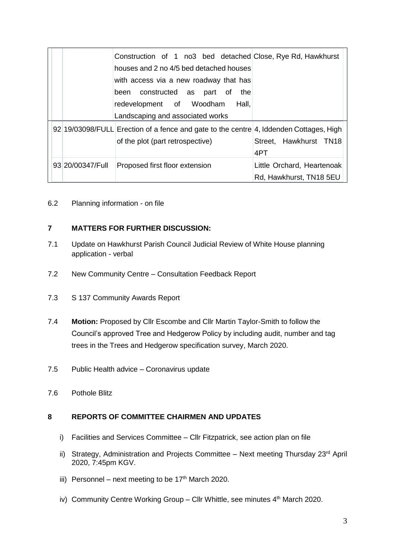|  |                  | Construction of 1 no3 bed detached Close, Rye Rd, Hawkhurst                            |                            |
|--|------------------|----------------------------------------------------------------------------------------|----------------------------|
|  |                  | houses and 2 no 4/5 bed detached houses                                                |                            |
|  |                  | with access via a new roadway that has                                                 |                            |
|  |                  | been constructed as part of<br>the                                                     |                            |
|  |                  | redevelopment of Woodham<br>Hall,                                                      |                            |
|  |                  | Landscaping and associated works                                                       |                            |
|  |                  | 92 19/03098/FULL Erection of a fence and gate to the centre 4, Iddenden Cottages, High |                            |
|  |                  | of the plot (part retrospective)                                                       | Street, Hawkhurst TN18     |
|  |                  |                                                                                        | 4PT                        |
|  | 93 20/00347/Full | Proposed first floor extension                                                         | Little Orchard, Heartenoak |
|  |                  |                                                                                        | Rd, Hawkhurst, TN18 5EU    |

6.2 Planning information - on file

#### **7 MATTERS FOR FURTHER DISCUSSION:**

- 7.1 Update on Hawkhurst Parish Council Judicial Review of White House planning application - verbal
- 7.2 New Community Centre Consultation Feedback Report
- 7.3 S 137 Community Awards Report
- 7.4 **Motion:** Proposed by Cllr Escombe and Cllr Martin Taylor-Smith to follow the Council's approved Tree and Hedgerow Policy by including audit, number and tag trees in the Trees and Hedgerow specification survey, March 2020.
- 7.5 Public Health advice Coronavirus update
- 7.6 Pothole Blitz

#### **8 REPORTS OF COMMITTEE CHAIRMEN AND UPDATES**

- i) Facilities and Services Committee Cllr Fitzpatrick, see action plan on file
- ii) Strategy, Administration and Projects Committee  $-$  Next meeting Thursday 23<sup>rd</sup> April 2020, 7:45pm KGV.
- iii) Personnel next meeting to be  $17<sup>th</sup>$  March 2020.
- iv) Community Centre Working Group Cllr Whittle, see minutes 4<sup>th</sup> March 2020.